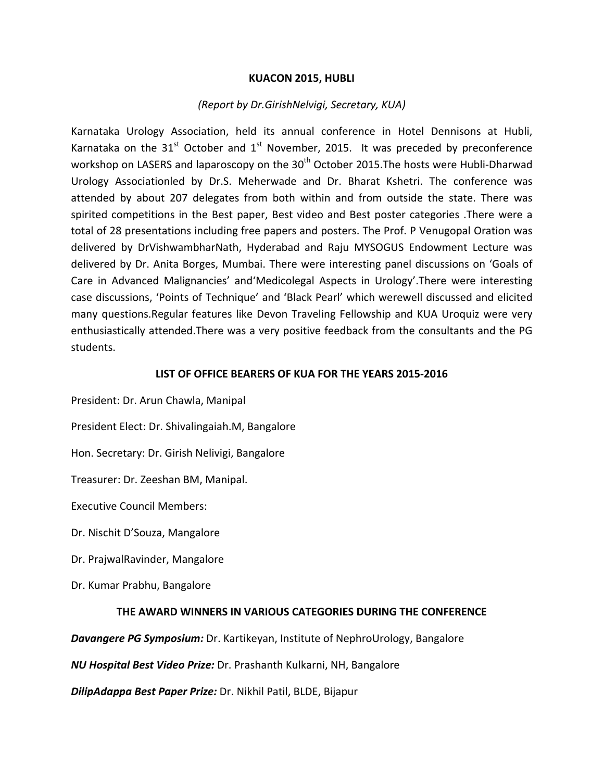#### **KUACON 2015, HUBLI**

#### *(Report by Dr.GirishNelvigi, Secretary, KUA)*

Karnataka Urology Association, held its annual conference in Hotel Dennisons at Hubli, Karnataka on the  $31<sup>st</sup>$  October and  $1<sup>st</sup>$  November, 2015. It was preceded by preconference workshop on LASERS and laparoscopy on the 30<sup>th</sup> October 2015. The hosts were Hubli-Dharwad Urology Associationled by Dr.S. Meherwade and Dr. Bharat Kshetri. The conference was attended by about 207 delegates from both within and from outside the state. There was spirited competitions in the Best paper, Best video and Best poster categories .There were a total of 28 presentations including free papers and posters. The Prof. P Venugopal Oration was delivered by DrVishwambharNath, Hyderabad and Raju MYSOGUS Endowment Lecture was delivered by Dr. Anita Borges, Mumbai. There were interesting panel discussions on 'Goals of Care in Advanced Malignancies' and'Medicolegal Aspects in Urology'.There were interesting case discussions, 'Points of Technique' and 'Black Pearl' which werewell discussed and elicited many questions.Regular features like Devon Traveling Fellowship and KUA Uroquiz were very enthusiastically attended.There was a very positive feedback from the consultants and the PG students.

#### **LIST OF OFFICE BEARERS OF KUA FOR THE YEARS 2015-2016**

President: Dr. Arun Chawla, Manipal President Elect: Dr. Shivalingaiah.M, Bangalore Hon. Secretary: Dr. Girish Nelivigi, Bangalore Treasurer: Dr. Zeeshan BM, Manipal. Executive Council Members: Dr. Nischit D'Souza, Mangalore Dr. PrajwalRavinder, Mangalore Dr. Kumar Prabhu, Bangalore

## **THE AWARD WINNERS IN VARIOUS CATEGORIES DURING THE CONFERENCE**

*Davangere PG Symposium:* Dr. Kartikeyan, Institute of NephroUrology, Bangalore

*NU Hospital Best Video Prize:* Dr. Prashanth Kulkarni, NH, Bangalore

*DilipAdappa Best Paper Prize:* Dr. Nikhil Patil, BLDE, Bijapur